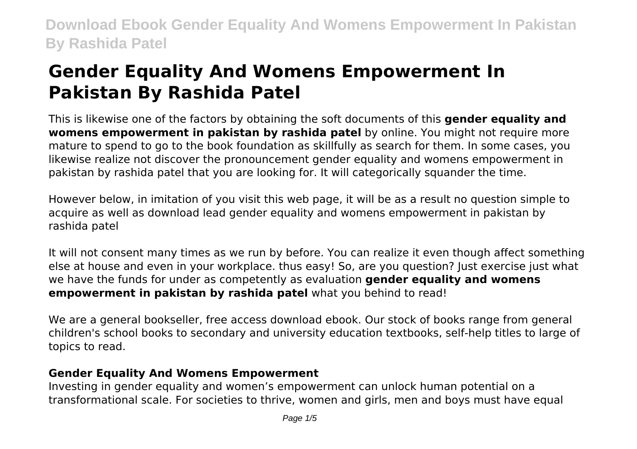# **Gender Equality And Womens Empowerment In Pakistan By Rashida Patel**

This is likewise one of the factors by obtaining the soft documents of this **gender equality and womens empowerment in pakistan by rashida patel** by online. You might not require more mature to spend to go to the book foundation as skillfully as search for them. In some cases, you likewise realize not discover the pronouncement gender equality and womens empowerment in pakistan by rashida patel that you are looking for. It will categorically squander the time.

However below, in imitation of you visit this web page, it will be as a result no question simple to acquire as well as download lead gender equality and womens empowerment in pakistan by rashida patel

It will not consent many times as we run by before. You can realize it even though affect something else at house and even in your workplace. thus easy! So, are you question? Just exercise just what we have the funds for under as competently as evaluation **gender equality and womens empowerment in pakistan by rashida patel** what you behind to read!

We are a general bookseller, free access download ebook. Our stock of books range from general children's school books to secondary and university education textbooks, self-help titles to large of topics to read.

### **Gender Equality And Womens Empowerment**

Investing in gender equality and women's empowerment can unlock human potential on a transformational scale. For societies to thrive, women and girls, men and boys must have equal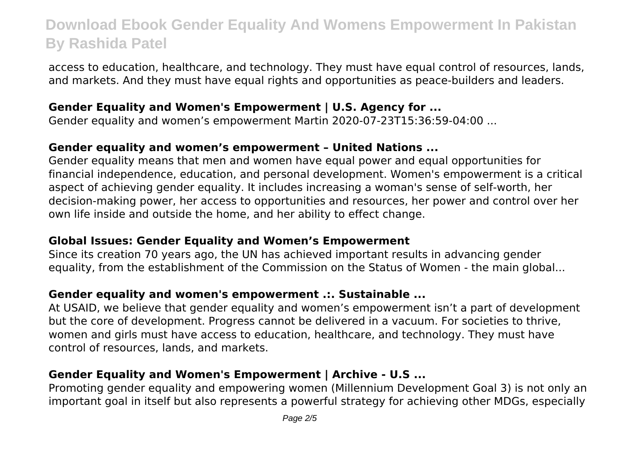access to education, healthcare, and technology. They must have equal control of resources, lands, and markets. And they must have equal rights and opportunities as peace-builders and leaders.

### **Gender Equality and Women's Empowerment | U.S. Agency for ...**

Gender equality and women's empowerment Martin 2020-07-23T15:36:59-04:00 ...

#### **Gender equality and women's empowerment – United Nations ...**

Gender equality means that men and women have equal power and equal opportunities for financial independence, education, and personal development. Women's empowerment is a critical aspect of achieving gender equality. It includes increasing a woman's sense of self-worth, her decision-making power, her access to opportunities and resources, her power and control over her own life inside and outside the home, and her ability to effect change.

### **Global Issues: Gender Equality and Women's Empowerment**

Since its creation 70 years ago, the UN has achieved important results in advancing gender equality, from the establishment of the Commission on the Status of Women - the main global...

### **Gender equality and women's empowerment .:. Sustainable ...**

At USAID, we believe that gender equality and women's empowerment isn't a part of development but the core of development. Progress cannot be delivered in a vacuum. For societies to thrive, women and girls must have access to education, healthcare, and technology. They must have control of resources, lands, and markets.

# **Gender Equality and Women's Empowerment | Archive - U.S ...**

Promoting gender equality and empowering women (Millennium Development Goal 3) is not only an important goal in itself but also represents a powerful strategy for achieving other MDGs, especially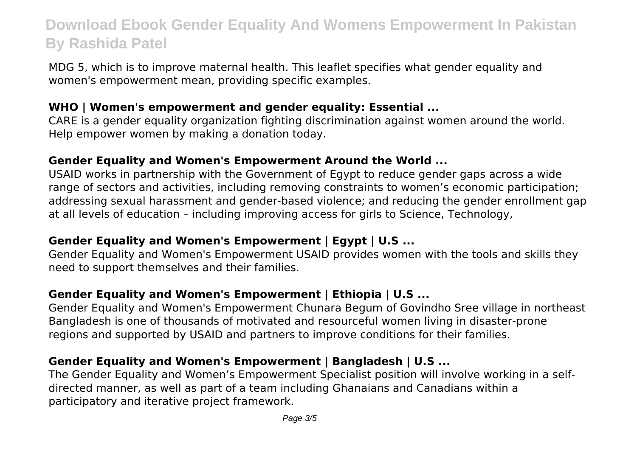MDG 5, which is to improve maternal health. This leaflet specifies what gender equality and women's empowerment mean, providing specific examples.

### **WHO | Women's empowerment and gender equality: Essential ...**

CARE is a gender equality organization fighting discrimination against women around the world. Help empower women by making a donation today.

### **Gender Equality and Women's Empowerment Around the World ...**

USAID works in partnership with the Government of Egypt to reduce gender gaps across a wide range of sectors and activities, including removing constraints to women's economic participation; addressing sexual harassment and gender-based violence; and reducing the gender enrollment gap at all levels of education – including improving access for girls to Science, Technology,

### **Gender Equality and Women's Empowerment | Egypt | U.S ...**

Gender Equality and Women's Empowerment USAID provides women with the tools and skills they need to support themselves and their families.

# **Gender Equality and Women's Empowerment | Ethiopia | U.S ...**

Gender Equality and Women's Empowerment Chunara Begum of Govindho Sree village in northeast Bangladesh is one of thousands of motivated and resourceful women living in disaster-prone regions and supported by USAID and partners to improve conditions for their families.

# **Gender Equality and Women's Empowerment | Bangladesh | U.S ...**

The Gender Equality and Women's Empowerment Specialist position will involve working in a selfdirected manner, as well as part of a team including Ghanaians and Canadians within a participatory and iterative project framework.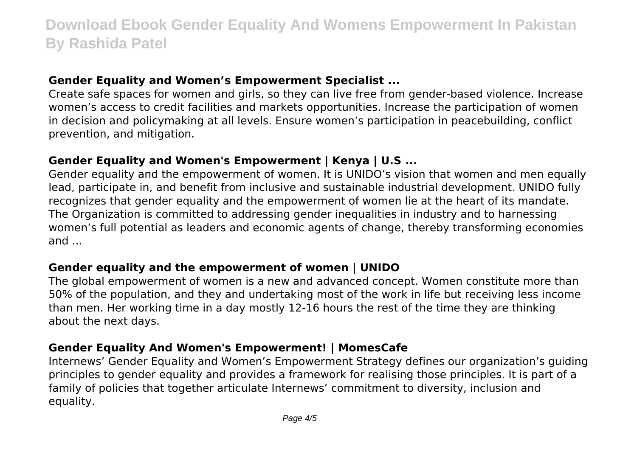### **Gender Equality and Women's Empowerment Specialist ...**

Create safe spaces for women and girls, so they can live free from gender-based violence. Increase women's access to credit facilities and markets opportunities. Increase the participation of women in decision and policymaking at all levels. Ensure women's participation in peacebuilding, conflict prevention, and mitigation.

# **Gender Equality and Women's Empowerment | Kenya | U.S ...**

Gender equality and the empowerment of women. It is UNIDO's vision that women and men equally lead, participate in, and benefit from inclusive and sustainable industrial development. UNIDO fully recognizes that gender equality and the empowerment of women lie at the heart of its mandate. The Organization is committed to addressing gender inequalities in industry and to harnessing women's full potential as leaders and economic agents of change, thereby transforming economies and ...

### **Gender equality and the empowerment of women | UNIDO**

The global empowerment of women is a new and advanced concept. Women constitute more than 50% of the population, and they and undertaking most of the work in life but receiving less income than men. Her working time in a day mostly 12-16 hours the rest of the time they are thinking about the next days.

### **Gender Equality And Women's Empowerment! | MomesCafe**

Internews' Gender Equality and Women's Empowerment Strategy defines our organization's guiding principles to gender equality and provides a framework for realising those principles. It is part of a family of policies that together articulate Internews' commitment to diversity, inclusion and equality.